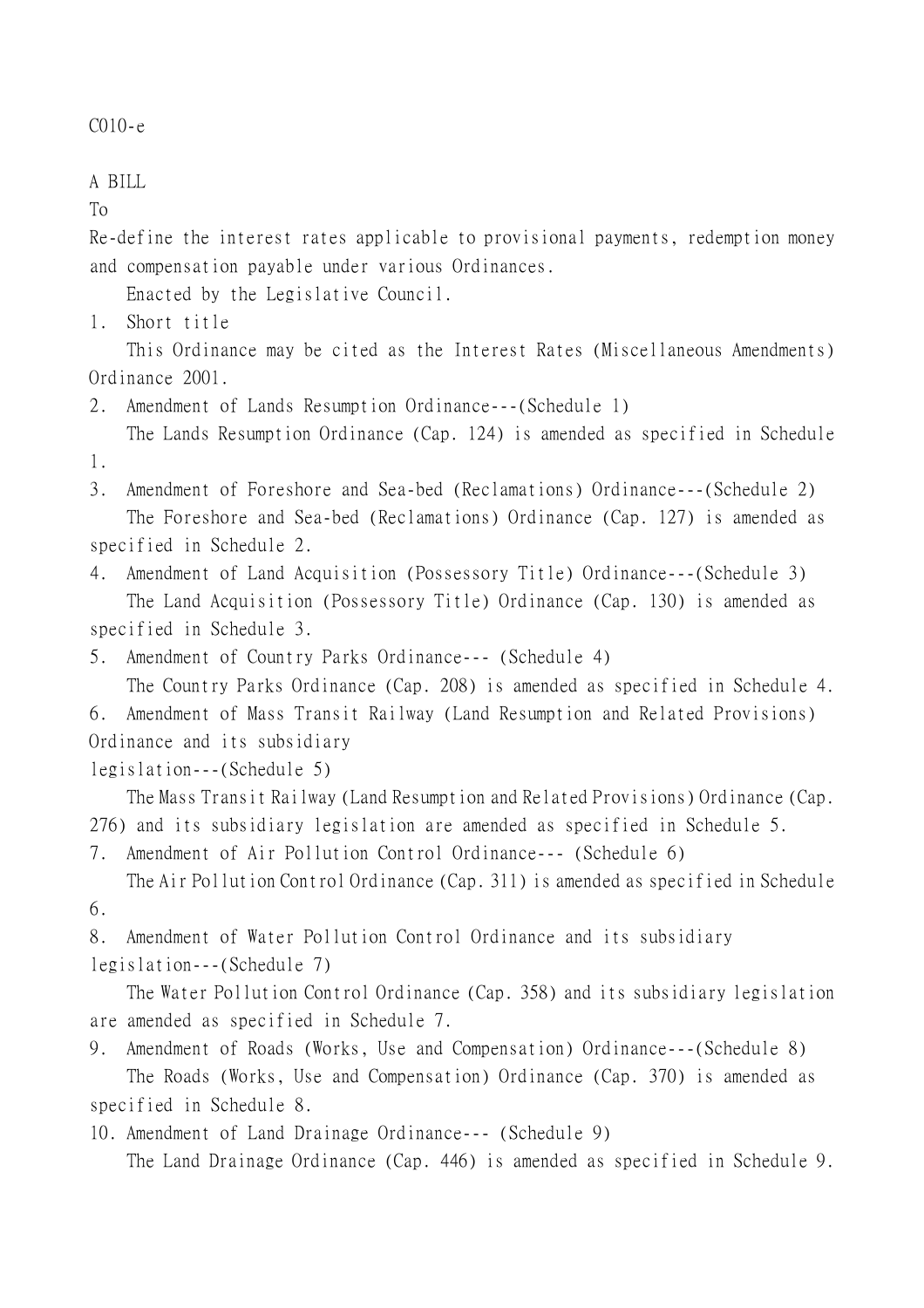```
C010-e
```

```
A BILL
```
To

Re-define the interest rates applicable to provisional payments, redemption money and compensation payable under various Ordinances.

Enacted by the Legislative Council.

1. Short title

This Ordinance may be cited as the Interest Rates (Miscellaneous Amendments) Ordinance 2001.

- 2. Amendment of Lands Resumption Ordinance---(Schedule 1)
- The Lands Resumption Ordinance (Cap. 124) is amended as specified in Schedule 1.
- 3. Amendment of Foreshore and Sea-bed (Reclamations) Ordinance---(Schedule 2) The Foreshore and Sea-bed (Reclamations) Ordinance (Cap. 127) is amended as specified in Schedule 2.

4. Amendment of Land Acquisition (Possessory Title) Ordinance---(Schedule 3) The Land Acquisition (Possessory Title) Ordinance (Cap. 130) is amended as

specified in Schedule 3.

5. Amendment of Country Parks Ordinance--- (Schedule 4)

The Country Parks Ordinance (Cap. 208) is amended as specified in Schedule 4.

6. Amendment of Mass Transit Railway (Land Resumption and Related Provisions) Ordinance and its subsidiary

legislation---(Schedule 5)

The Mass Transit Railway (Land Resumption and Related Provisions) Ordinance (Cap. 276) and its subsidiary legislation are amended as specified in Schedule 5.

7. Amendment of Air Pollution Control Ordinance--- (Schedule 6) The Air Pollution Control Ordinance (Cap. 311) is amended as specified in Schedule

6.

8. Amendment of Water Pollution Control Ordinance and its subsidiary legislation---(Schedule 7)

The Water Pollution Control Ordinance (Cap. 358) and its subsidiary legislation are amended as specified in Schedule 7.

9. Amendment of Roads (Works, Use and Compensation) Ordinance---(Schedule 8) The Roads (Works, Use and Compensation) Ordinance (Cap. 370) is amended as specified in Schedule 8.

10. Amendment of Land Drainage Ordinance--- (Schedule 9) The Land Drainage Ordinance (Cap. 446) is amended as specified in Schedule 9.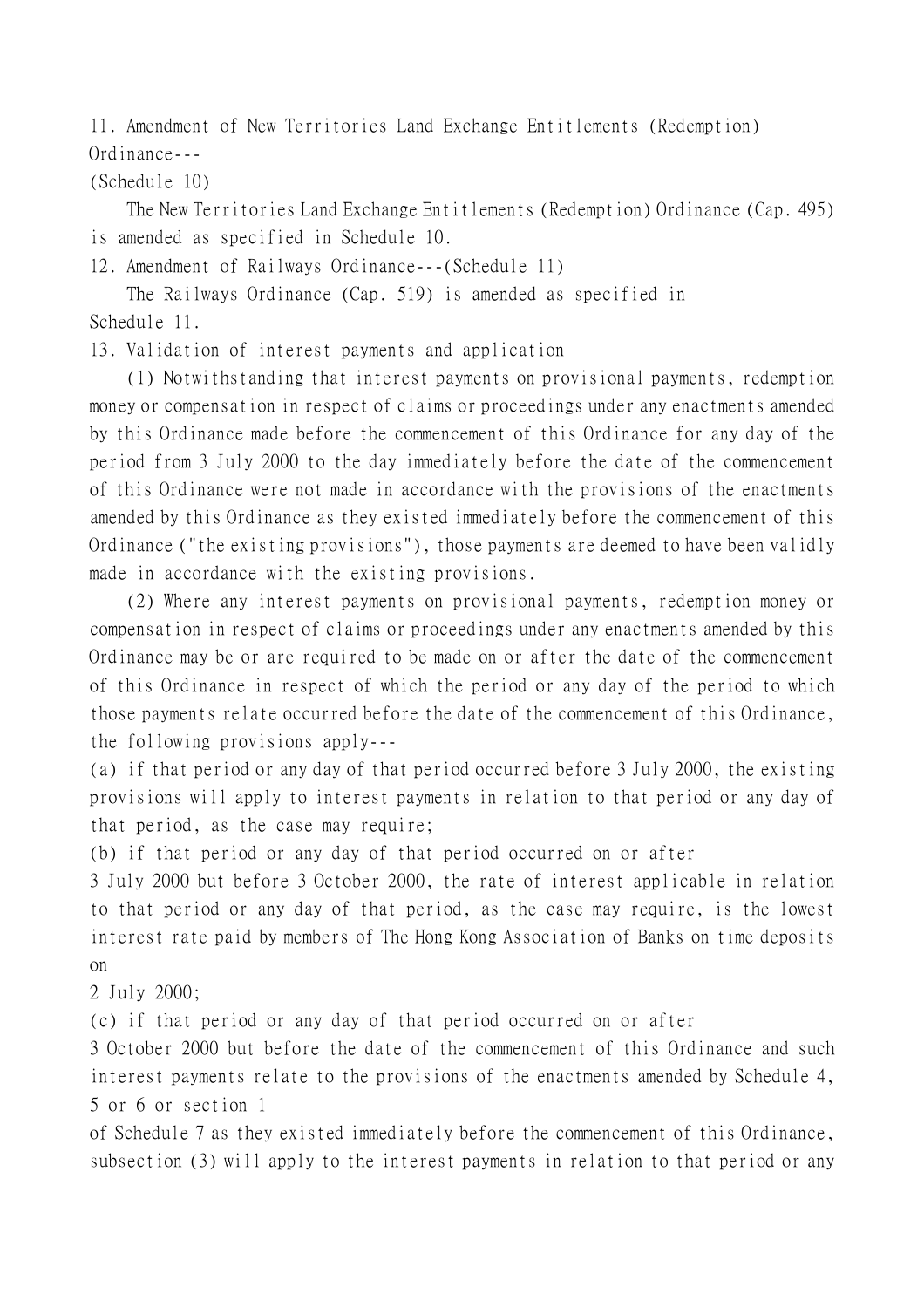11. Amendment of New Territories Land Exchange Entitlements (Redemption) Ordinance---

(Schedule 10)

The New Territories Land Exchange Entitlements (Redemption) Ordinance (Cap. 495) is amended as specified in Schedule 10.

12. Amendment of Railways Ordinance---(Schedule 11)

The Railways Ordinance (Cap. 519) is amended as specified in Schedule 11.

13. Validation of interest payments and application

(1) Notwithstanding that interest payments on provisional payments, redemption money or compensation in respect of claims or proceedings under any enactments amended by this Ordinance made before the commencement of this Ordinance for any day of the period from 3 July 2000 to the day immediately before the date of the commencement of this Ordinance were not made in accordance with the provisions of the enactments amended by this Ordinance as they existed immediately before the commencement of this Ordinance ("the existing provisions"), those payments are deemed to have been validly made in accordance with the existing provisions.

(2) Where any interest payments on provisional payments, redemption money or compensation in respect of claims or proceedings under any enactments amended by this Ordinance may be or are required to be made on or after the date of the commencement of this Ordinance in respect of which the period or any day of the period to which those payments relate occurred before the date of the commencement of this Ordinance, the following provisions apply---

(a) if that period or any day of that period occurred before 3 July 2000, the existing provisions will apply to interest payments in relation to that period or any day of that period, as the case may require;

(b) if that period or any day of that period occurred on or after

3 July 2000 but before 3 October 2000, the rate of interest applicable in relation to that period or any day of that period, as the case may require, is the lowest interest rate paid by members of The Hong Kong Association of Banks on time deposits on

2 July 2000;

(c) if that period or any day of that period occurred on or after

3 October 2000 but before the date of the commencement of this Ordinance and such interest payments relate to the provisions of the enactments amended by Schedule 4, 5 or 6 or section 1

of Schedule 7 as they existed immediately before the commencement of this Ordinance, subsection (3) will apply to the interest payments in relation to that period or any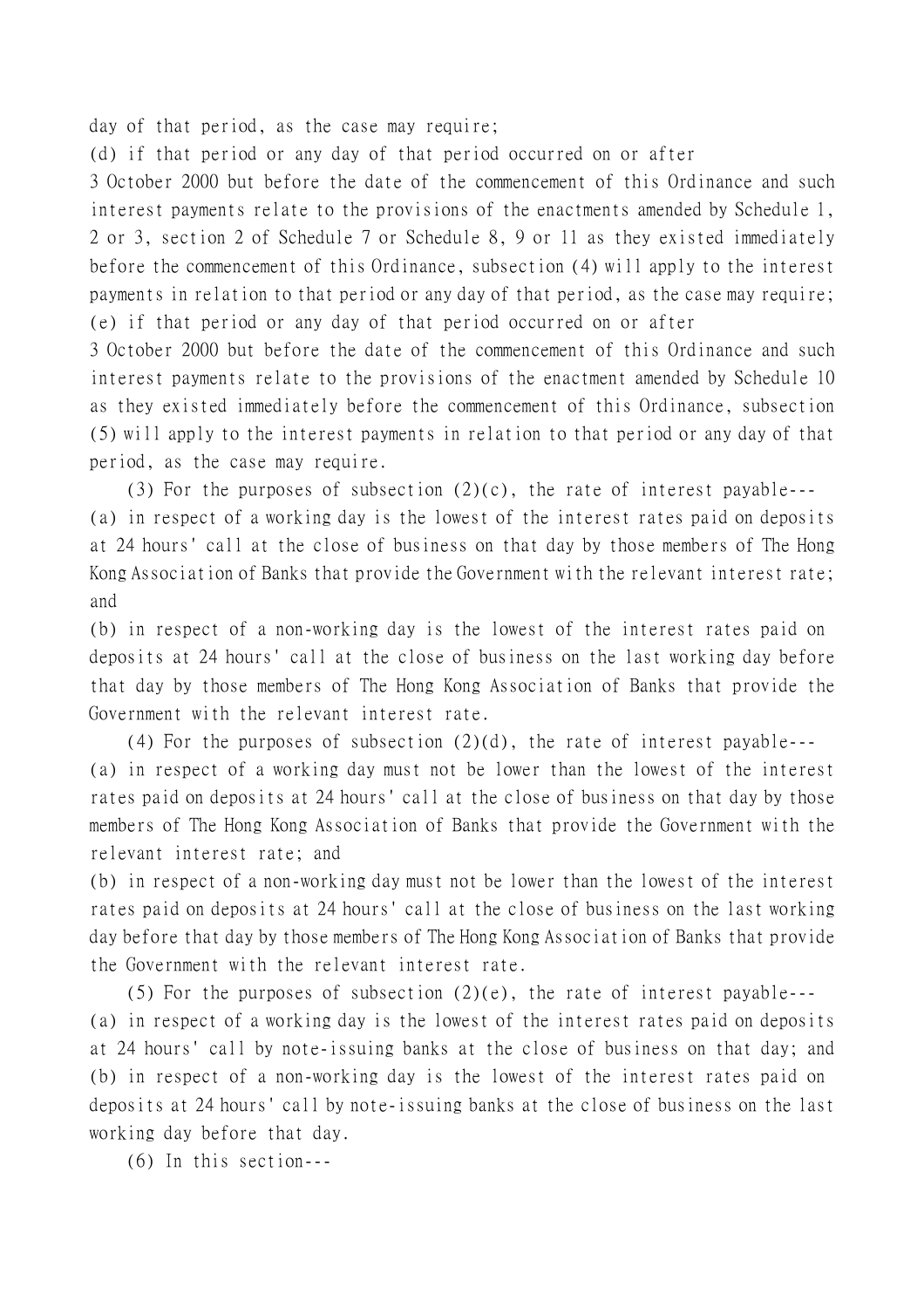day of that period, as the case may require;

(d) if that period or any day of that period occurred on or after

3 October 2000 but before the date of the commencement of this Ordinance and such interest payments relate to the provisions of the enactments amended by Schedule 1, 2 or 3, section 2 of Schedule 7 or Schedule 8, 9 or 11 as they existed immediately before the commencement of this Ordinance, subsection (4) will apply to the interest payments in relation to that period or any day of that period, as the case may require; (e) if that period or any day of that period occurred on or after

3 October 2000 but before the date of the commencement of this Ordinance and such interest payments relate to the provisions of the enactment amended by Schedule 10 as they existed immediately before the commencement of this Ordinance, subsection (5) will apply to the interest payments in relation to that period or any day of that period, as the case may require.

(3) For the purposes of subsection  $(2)(c)$ , the rate of interest payable---(a) in respect of a working day is the lowest of the interest rates paid on deposits at 24 hours' call at the close of business on that day by those members of The Hong Kong Association of Banks that provide the Government with the relevant interest rate; and

(b) in respect of a non-working day is the lowest of the interest rates paid on deposits at 24 hours' call at the close of business on the last working day before that day by those members of The Hong Kong Association of Banks that provide the Government with the relevant interest rate.

(4) For the purposes of subsection  $(2)(d)$ , the rate of interest payable---(a) in respect of a working day must not be lower than the lowest of the interest rates paid on deposits at 24 hours' call at the close of business on that day by those members of The Hong Kong Association of Banks that provide the Government with the relevant interest rate; and

(b) in respect of a non-working day must not be lower than the lowest of the interest rates paid on deposits at 24 hours' call at the close of business on the last working day before that day by those members of The Hong Kong Association of Banks that provide the Government with the relevant interest rate.

(5) For the purposes of subsection  $(2)(e)$ , the rate of interest payable---(a) in respect of a working day is the lowest of the interest rates paid on deposits at 24 hours' call by note-issuing banks at the close of business on that day; and (b) in respect of a non-working day is the lowest of the interest rates paid on deposits at 24 hours' call by note-issuing banks at the close of business on the last working day before that day.

(6) In this section---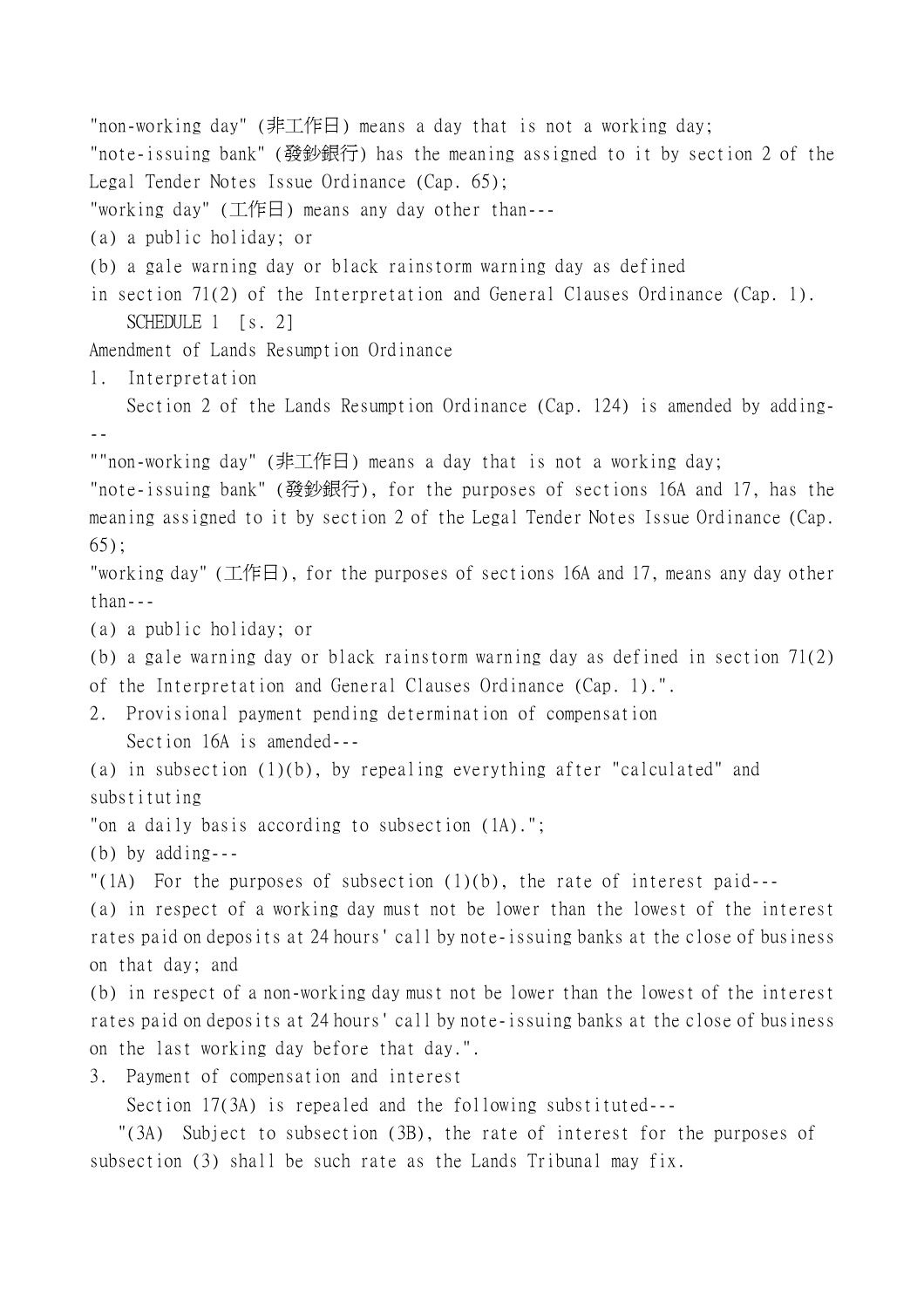"non-working day" (非工作日) means a day that is not a working day; "note-issuing bank" (發鈔銀行) has the meaning assigned to it by section 2 of the Legal Tender Notes Issue Ordinance (Cap. 65); "working day" (工作日) means any day other than--- (a) a public holiday; or (b) a gale warning day or black rainstorm warning day as defined in section 71(2) of the Interpretation and General Clauses Ordinance (Cap. 1). SCHEDULE 1 [s. 2] Amendment of Lands Resumption Ordinance 1. Interpretation Section 2 of the Lands Resumption Ordinance (Cap. 124) is amended by adding- -- ""non-working day" (非工作日) means a day that is not a working day; "note-issuing bank" (發鈔銀行), for the purposes of sections 16A and 17, has the meaning assigned to it by section 2 of the Legal Tender Notes Issue Ordinance (Cap. 65); "working day" (工作日), for the purposes of sections 16A and 17, means any day other than--- (a) a public holiday; or (b) a gale warning day or black rainstorm warning day as defined in section 71(2) of the Interpretation and General Clauses Ordinance (Cap. 1).". 2. Provisional payment pending determination of compensation Section 16A is amended--- (a) in subsection (1)(b), by repealing everything after "calculated" and substituting "on a daily basis according to subsection (1A)."; (b) by adding--- "(1A) For the purposes of subsection  $(1)(b)$ , the rate of interest paid---(a) in respect of a working day must not be lower than the lowest of the interest rates paid on deposits at 24 hours' call by note-issuing banks at the close of business on that day; and (b) in respect of a non-working day must not be lower than the lowest of the interest rates paid on deposits at 24 hours' call by note-issuing banks at the close of business on the last working day before that day.". 3. Payment of compensation and interest Section 17(3A) is repealed and the following substituted--- "(3A) Subject to subsection (3B), the rate of interest for the purposes of subsection (3) shall be such rate as the Lands Tribunal may fix.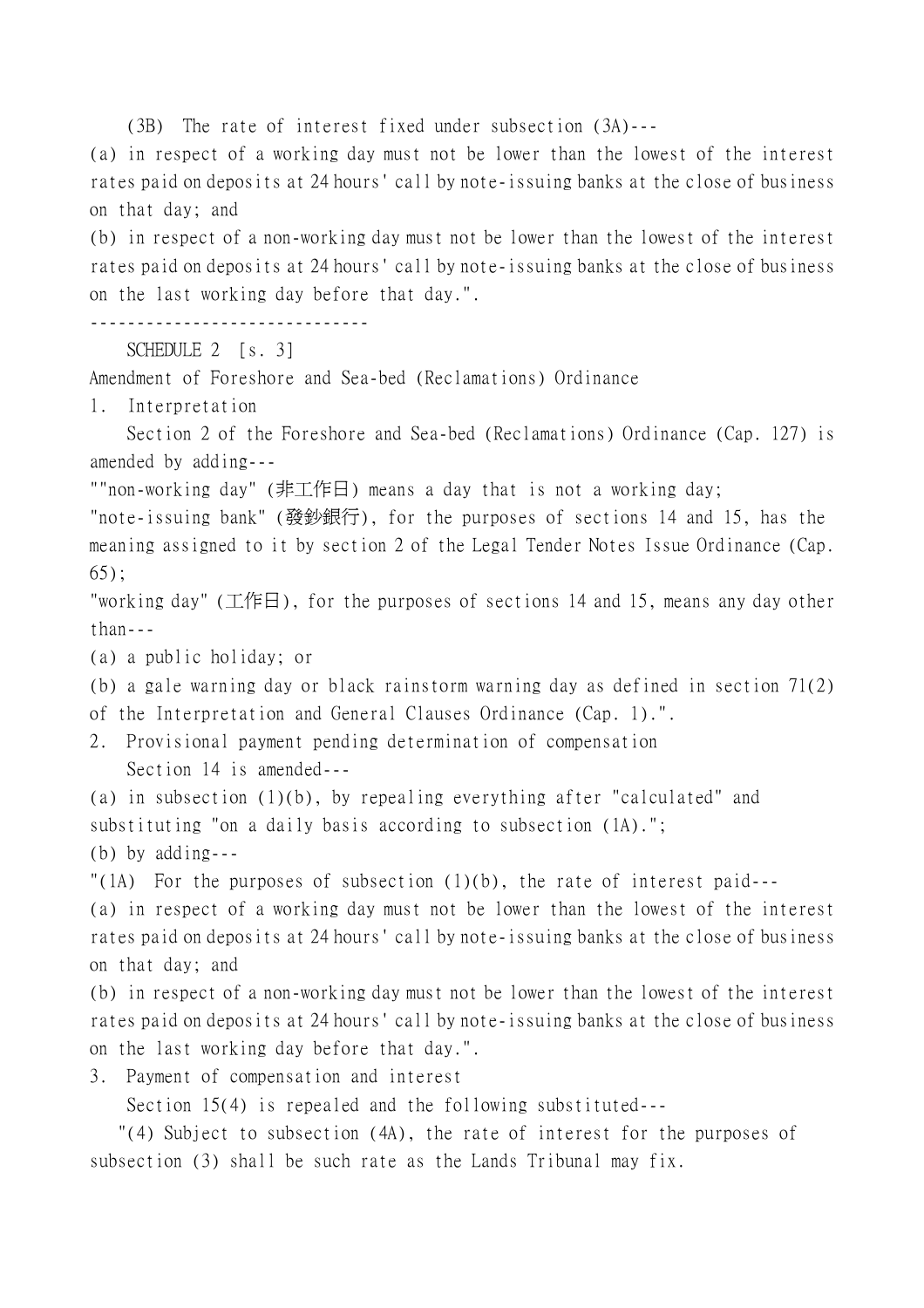(3B) The rate of interest fixed under subsection (3A)---

(a) in respect of a working day must not be lower than the lowest of the interest rates paid on deposits at 24 hours' call by note-issuing banks at the close of business on that day; and

(b) in respect of a non-working day must not be lower than the lowest of the interest rates paid on deposits at 24 hours' call by note-issuing banks at the close of business on the last working day before that day.".

------------------------------

```
SCHEDULE 2 [s. 3]
```
Amendment of Foreshore and Sea-bed (Reclamations) Ordinance

1. Interpretation

Section 2 of the Foreshore and Sea-bed (Reclamations) Ordinance (Cap. 127) is amended by adding---

""non-working day" (非工作日) means a day that is not a working day;

"note-issuing bank" (發鈔銀行), for the purposes of sections 14 and 15, has the meaning assigned to it by section 2 of the Legal Tender Notes Issue Ordinance (Cap. 65);

"working day" (工作日), for the purposes of sections 14 and 15, means any day other than---

(a) a public holiday; or

(b) a gale warning day or black rainstorm warning day as defined in section 71(2) of the Interpretation and General Clauses Ordinance (Cap. 1).".

2. Provisional payment pending determination of compensation Section 14 is amended---

(a) in subsection (1)(b), by repealing everything after "calculated" and substituting "on a daily basis according to subsection (1A).";

(b) by adding---

"(1A) For the purposes of subsection  $(1)(b)$ , the rate of interest paid---

(a) in respect of a working day must not be lower than the lowest of the interest rates paid on deposits at 24 hours' call by note-issuing banks at the close of business on that day; and

(b) in respect of a non-working day must not be lower than the lowest of the interest rates paid on deposits at 24 hours' call by note-issuing banks at the close of business on the last working day before that day.".

3. Payment of compensation and interest

Section 15(4) is repealed and the following substituted---

 "(4) Subject to subsection (4A), the rate of interest for the purposes of subsection (3) shall be such rate as the Lands Tribunal may fix.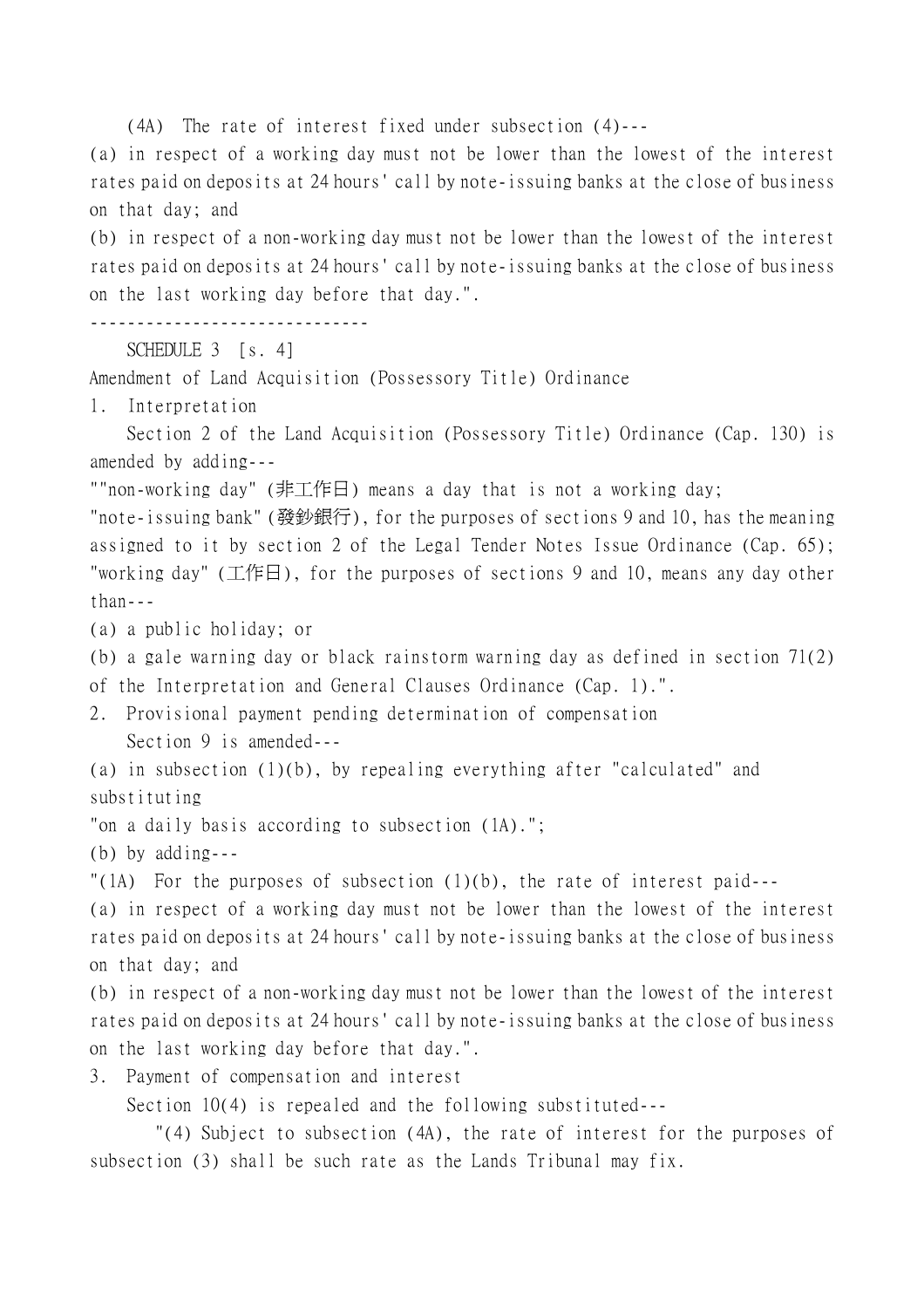(4A) The rate of interest fixed under subsection (4)---

(a) in respect of a working day must not be lower than the lowest of the interest rates paid on deposits at 24 hours' call by note-issuing banks at the close of business on that day; and

(b) in respect of a non-working day must not be lower than the lowest of the interest rates paid on deposits at 24 hours' call by note-issuing banks at the close of business on the last working day before that day.".

------------------------------

```
SCHEDULE 3 [s. 4]
```
Amendment of Land Acquisition (Possessory Title) Ordinance

1. Interpretation

Section 2 of the Land Acquisition (Possessory Title) Ordinance (Cap. 130) is amended by adding---

""non-working day" (非工作日) means a day that is not a working day;

"note-issuing bank" (發鈔銀行), for the purposes of sections 9 and 10, has the meaning assigned to it by section 2 of the Legal Tender Notes Issue Ordinance (Cap. 65); "working day" (工作日), for the purposes of sections 9 and 10, means any day other than---

(a) a public holiday; or

(b) a gale warning day or black rainstorm warning day as defined in section 71(2)

of the Interpretation and General Clauses Ordinance (Cap. 1).".

2. Provisional payment pending determination of compensation Section 9 is amended---

(a) in subsection (1)(b), by repealing everything after "calculated" and substituting

"on a daily basis according to subsection (1A).";

(b) by adding---

"(1A) For the purposes of subsection  $(1)(b)$ , the rate of interest paid---

(a) in respect of a working day must not be lower than the lowest of the interest rates paid on deposits at 24 hours' call by note-issuing banks at the close of business on that day; and

(b) in respect of a non-working day must not be lower than the lowest of the interest rates paid on deposits at 24 hours' call by note-issuing banks at the close of business on the last working day before that day.".

3. Payment of compensation and interest

Section 10(4) is repealed and the following substituted---

 "(4) Subject to subsection (4A), the rate of interest for the purposes of subsection (3) shall be such rate as the Lands Tribunal may fix.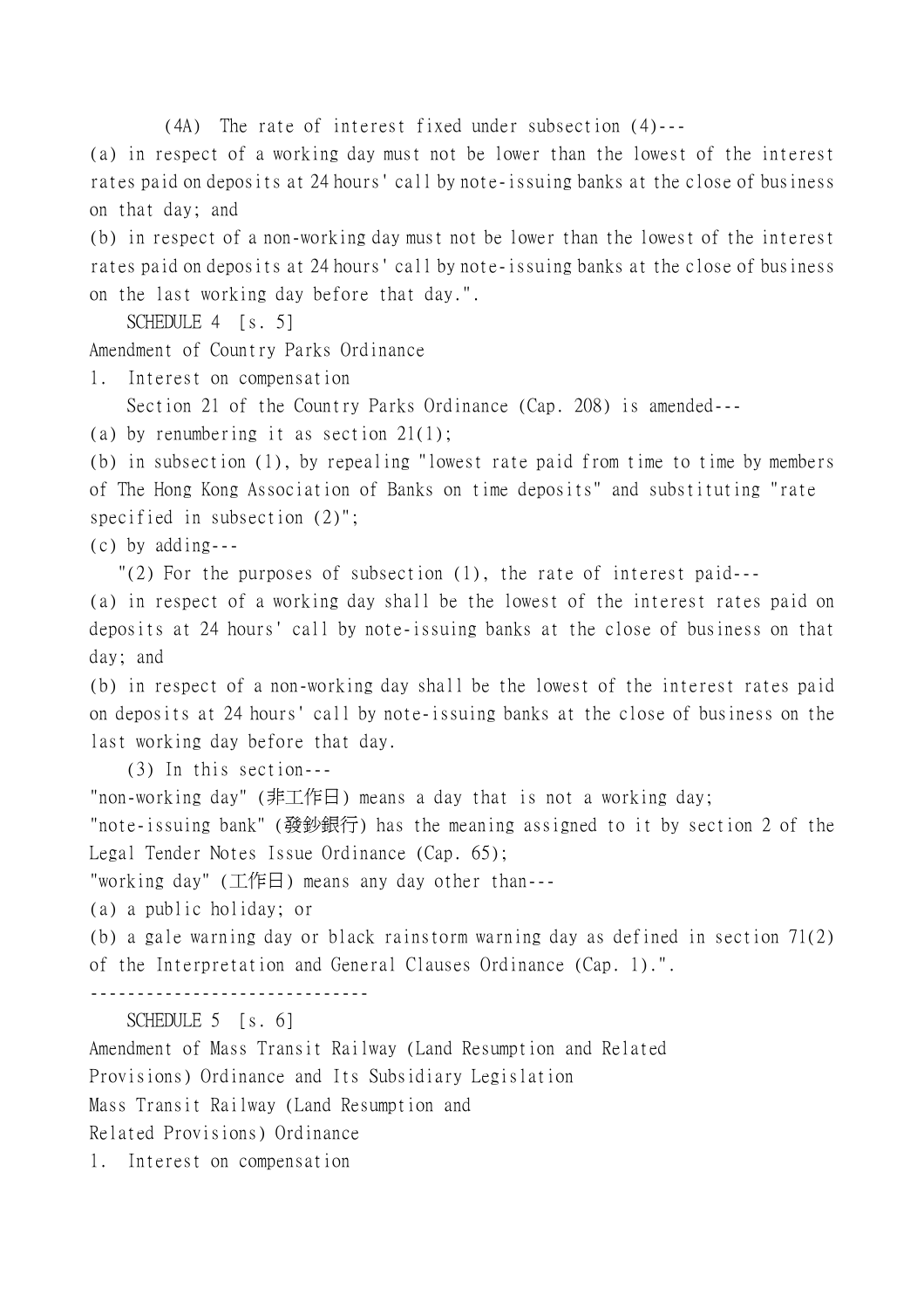(4A) The rate of interest fixed under subsection (4)---

(a) in respect of a working day must not be lower than the lowest of the interest rates paid on deposits at 24 hours' call by note-issuing banks at the close of business on that day; and

(b) in respect of a non-working day must not be lower than the lowest of the interest rates paid on deposits at 24 hours' call by note-issuing banks at the close of business on the last working day before that day.".

SCHEDULE 4 [s. 5]

Amendment of Country Parks Ordinance

1. Interest on compensation

Section 21 of the Country Parks Ordinance (Cap. 208) is amended---

(a) by renumbering it as section 21(1);

(b) in subsection (1), by repealing "lowest rate paid from time to time by members of The Hong Kong Association of Banks on time deposits" and substituting "rate specified in subsection (2)";

(c) by adding---

"(2) For the purposes of subsection (1), the rate of interest paid---

(a) in respect of a working day shall be the lowest of the interest rates paid on deposits at 24 hours' call by note-issuing banks at the close of business on that day; and

(b) in respect of a non-working day shall be the lowest of the interest rates paid on deposits at 24 hours' call by note-issuing banks at the close of business on the last working day before that day.

(3) In this section---

"non-working day" (非工作日) means a day that is not a working day;

"note-issuing bank" (發鈔銀行) has the meaning assigned to it by section 2 of the Legal Tender Notes Issue Ordinance (Cap. 65);

"working day" (工作日) means any day other than---

(a) a public holiday; or

(b) a gale warning day or black rainstorm warning day as defined in section 71(2) of the Interpretation and General Clauses Ordinance (Cap. 1).".

------------------------------

SCHEDULE 5 [s. 6]

Amendment of Mass Transit Railway (Land Resumption and Related

Provisions) Ordinance and Its Subsidiary Legislation

Mass Transit Railway (Land Resumption and

Related Provisions) Ordinance

1. Interest on compensation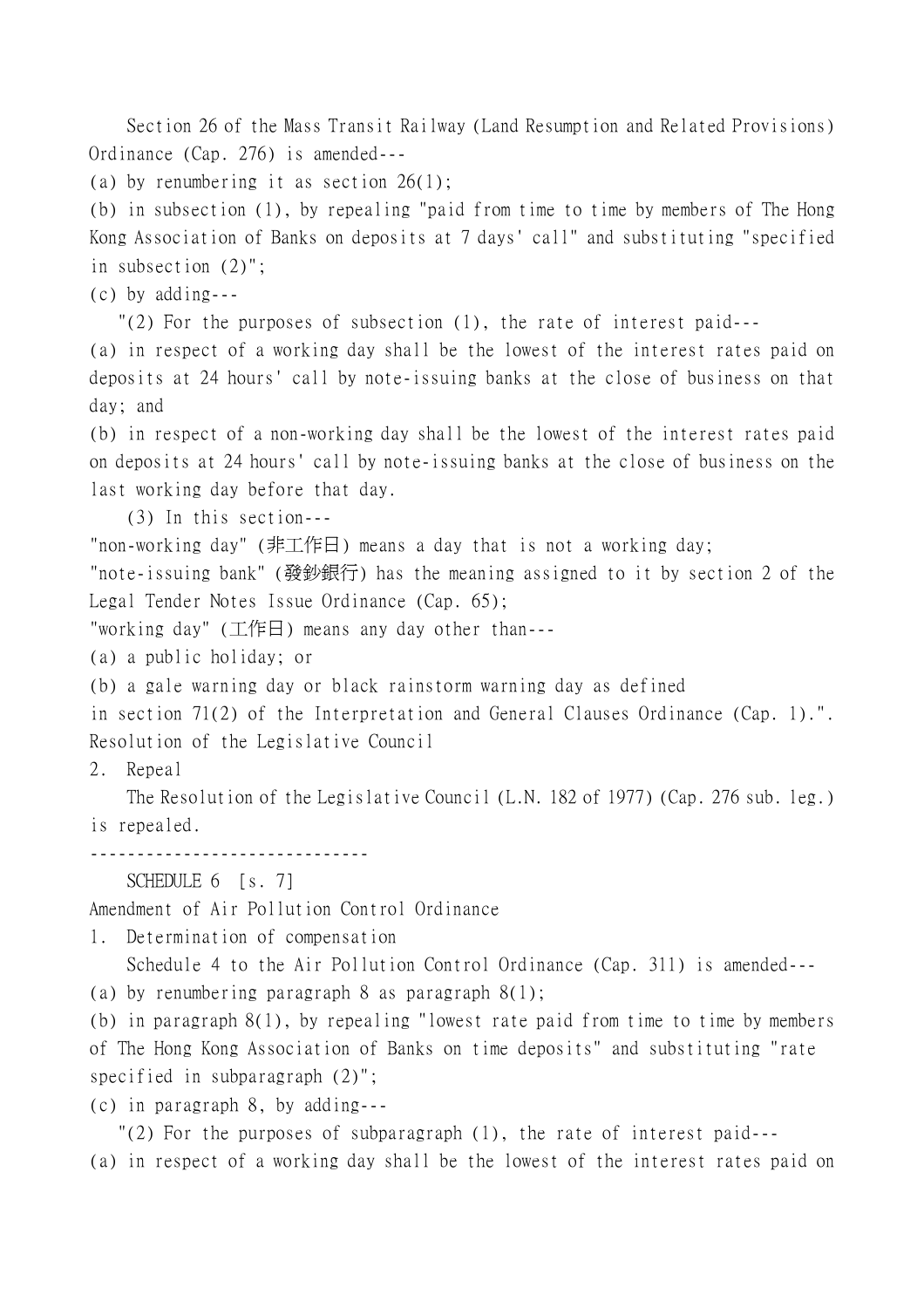Section 26 of the Mass Transit Railway (Land Resumption and Related Provisions) Ordinance (Cap. 276) is amended---

(a) by renumbering it as section 26(1);

(b) in subsection (1), by repealing "paid from time to time by members of The Hong Kong Association of Banks on deposits at 7 days' call" and substituting "specified in subsection (2)";

(c) by adding---

"(2) For the purposes of subsection (1), the rate of interest paid---

(a) in respect of a working day shall be the lowest of the interest rates paid on deposits at 24 hours' call by note-issuing banks at the close of business on that day; and

(b) in respect of a non-working day shall be the lowest of the interest rates paid on deposits at 24 hours' call by note-issuing banks at the close of business on the last working day before that day.

(3) In this section---

"non-working day" (非工作日) means a day that is not a working day;

"note-issuing bank" (發鈔銀行) has the meaning assigned to it by section 2 of the Legal Tender Notes Issue Ordinance (Cap. 65);

"working day" (工作日) means any day other than---

(a) a public holiday; or

(b) a gale warning day or black rainstorm warning day as defined

```
in section 71(2) of the Interpretation and General Clauses Ordinance (Cap. 1).".
Resolution of the Legislative Council
```
2. Repeal

The Resolution of the Legislative Council (L.N. 182 of 1977) (Cap. 276 sub. leg.) is repealed.

------------------------------

SCHEDULE 6 [s. 7]

Amendment of Air Pollution Control Ordinance

1. Determination of compensation

Schedule 4 to the Air Pollution Control Ordinance (Cap. 311) is amended---

(a) by renumbering paragraph 8 as paragraph 8(1);

(b) in paragraph 8(1), by repealing "lowest rate paid from time to time by members of The Hong Kong Association of Banks on time deposits" and substituting "rate specified in subparagraph (2)";

(c) in paragraph 8, by adding---

"(2) For the purposes of subparagraph (1), the rate of interest paid---

(a) in respect of a working day shall be the lowest of the interest rates paid on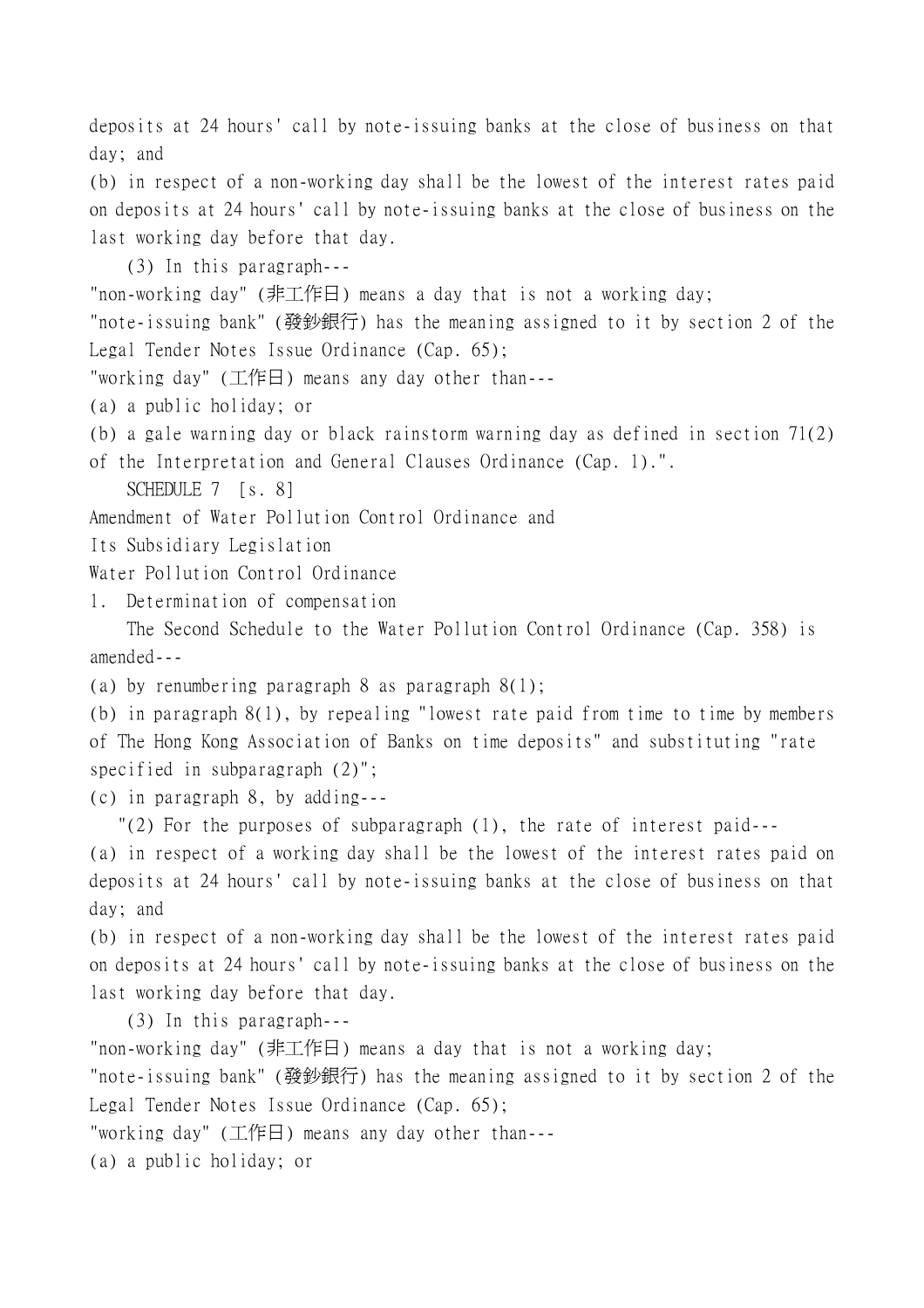deposits at 24 hours' call by note-issuing banks at the close of business on that day; and

(b) in respect of a non-working day shall be the lowest of the interest rates paid on deposits at 24 hours' call by note-issuing banks at the close of business on the last working day before that day.

(3) In this paragraph---

"non-working day" (非工作日) means a day that is not a working day;

"note-issuing bank" (發鈔銀行) has the meaning assigned to it by section 2 of the Legal Tender Notes Issue Ordinance (Cap. 65);

"working day" (工作日) means any day other than---

(a) a public holiday; or

(b) a gale warning day or black rainstorm warning day as defined in section 71(2)

of the Interpretation and General Clauses Ordinance (Cap. 1).".

SCHEDULE 7 [s. 8]

Amendment of Water Pollution Control Ordinance and

Its Subsidiary Legislation

Water Pollution Control Ordinance

1. Determination of compensation

The Second Schedule to the Water Pollution Control Ordinance (Cap. 358) is amended---

(a) by renumbering paragraph 8 as paragraph 8(1);

(b) in paragraph 8(1), by repealing "lowest rate paid from time to time by members of The Hong Kong Association of Banks on time deposits" and substituting "rate specified in subparagraph (2)";

(c) in paragraph 8, by adding---

"(2) For the purposes of subparagraph (1), the rate of interest paid---

(a) in respect of a working day shall be the lowest of the interest rates paid on deposits at 24 hours' call by note-issuing banks at the close of business on that day; and

(b) in respect of a non-working day shall be the lowest of the interest rates paid on deposits at 24 hours' call by note-issuing banks at the close of business on the last working day before that day.

(3) In this paragraph---

"non-working day" (非工作日) means a day that is not a working day;

"note-issuing bank" (發鈔銀行) has the meaning assigned to it by section 2 of the Legal Tender Notes Issue Ordinance (Cap. 65);

"working day" (工作日) means any day other than---

(a) a public holiday; or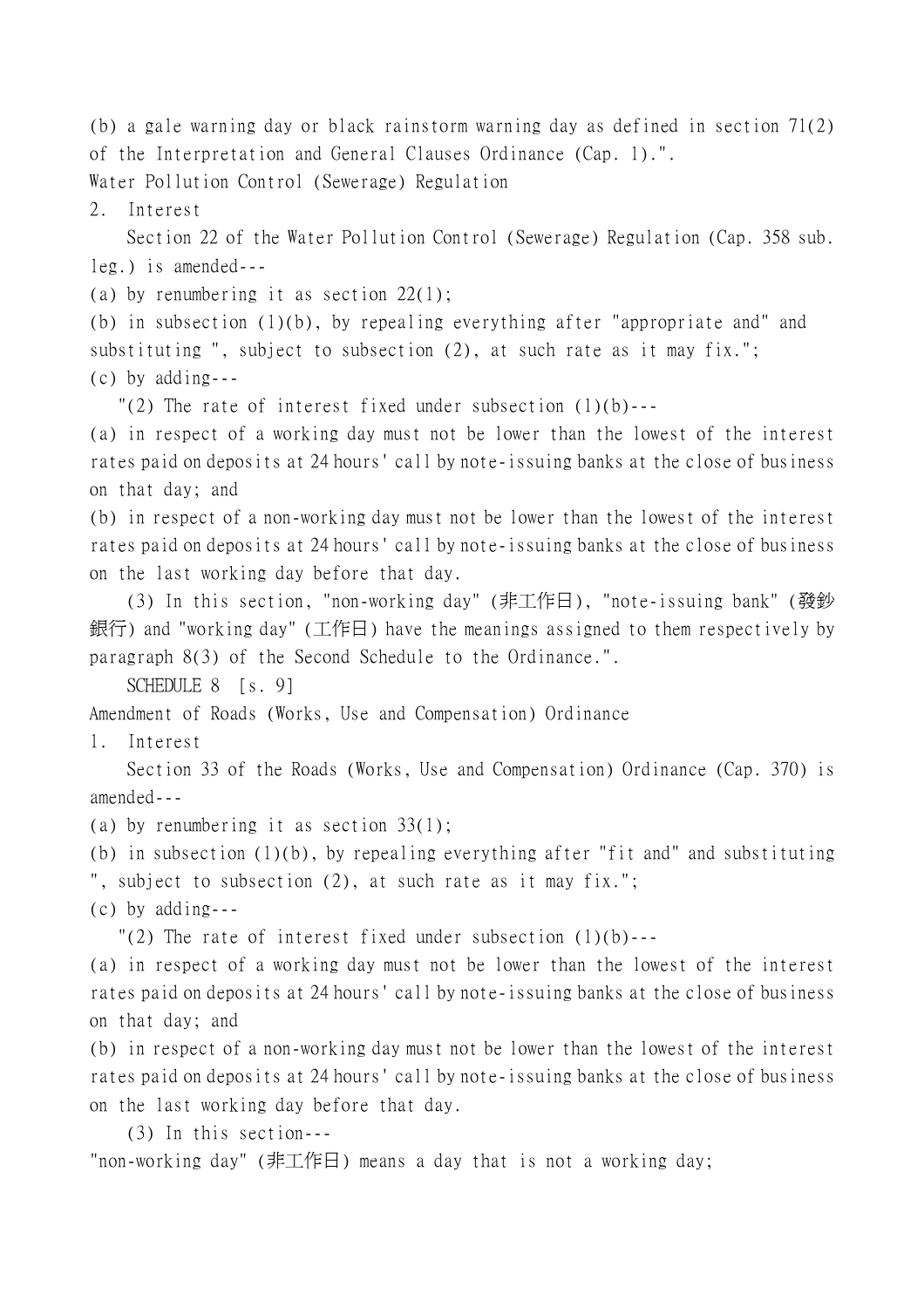(b) a gale warning day or black rainstorm warning day as defined in section 71(2) of the Interpretation and General Clauses Ordinance (Cap. 1).". Water Pollution Control (Sewerage) Regulation

2. Interest

Section 22 of the Water Pollution Control (Sewerage) Regulation (Cap. 358 sub. leg.) is amended---

(a) by renumbering it as section  $22(1)$ ;

(b) in subsection (1)(b), by repealing everything after "appropriate and" and substituting ", subject to subsection (2), at such rate as it may fix."; (c) by adding---

"(2) The rate of interest fixed under subsection  $(1)(b)$ ---

(a) in respect of a working day must not be lower than the lowest of the interest rates paid on deposits at 24 hours' call by note-issuing banks at the close of business on that day; and

(b) in respect of a non-working day must not be lower than the lowest of the interest rates paid on deposits at 24 hours' call by note-issuing banks at the close of business on the last working day before that day.

(3) In this section, "non-working day" (非工作日), "note-issuing bank" (發鈔 銀行) and "working day" (工作日) have the meanings assigned to them respectively by paragraph 8(3) of the Second Schedule to the Ordinance.".

SCHEDULE 8 [s. 9]

Amendment of Roads (Works, Use and Compensation) Ordinance

1. Interest

Section 33 of the Roads (Works, Use and Compensation) Ordinance (Cap. 370) is amended---

(a) by renumbering it as section 33(1);

(b) in subsection (1)(b), by repealing everything after "fit and" and substituting ", subject to subsection (2), at such rate as it may fix.";

(c) by adding---

"(2) The rate of interest fixed under subsection  $(1)(b)$ ---

(a) in respect of a working day must not be lower than the lowest of the interest rates paid on deposits at 24 hours' call by note-issuing banks at the close of business on that day; and

(b) in respect of a non-working day must not be lower than the lowest of the interest rates paid on deposits at 24 hours' call by note-issuing banks at the close of business on the last working day before that day.

(3) In this section---

"non-working day" (非工作日) means a day that is not a working day;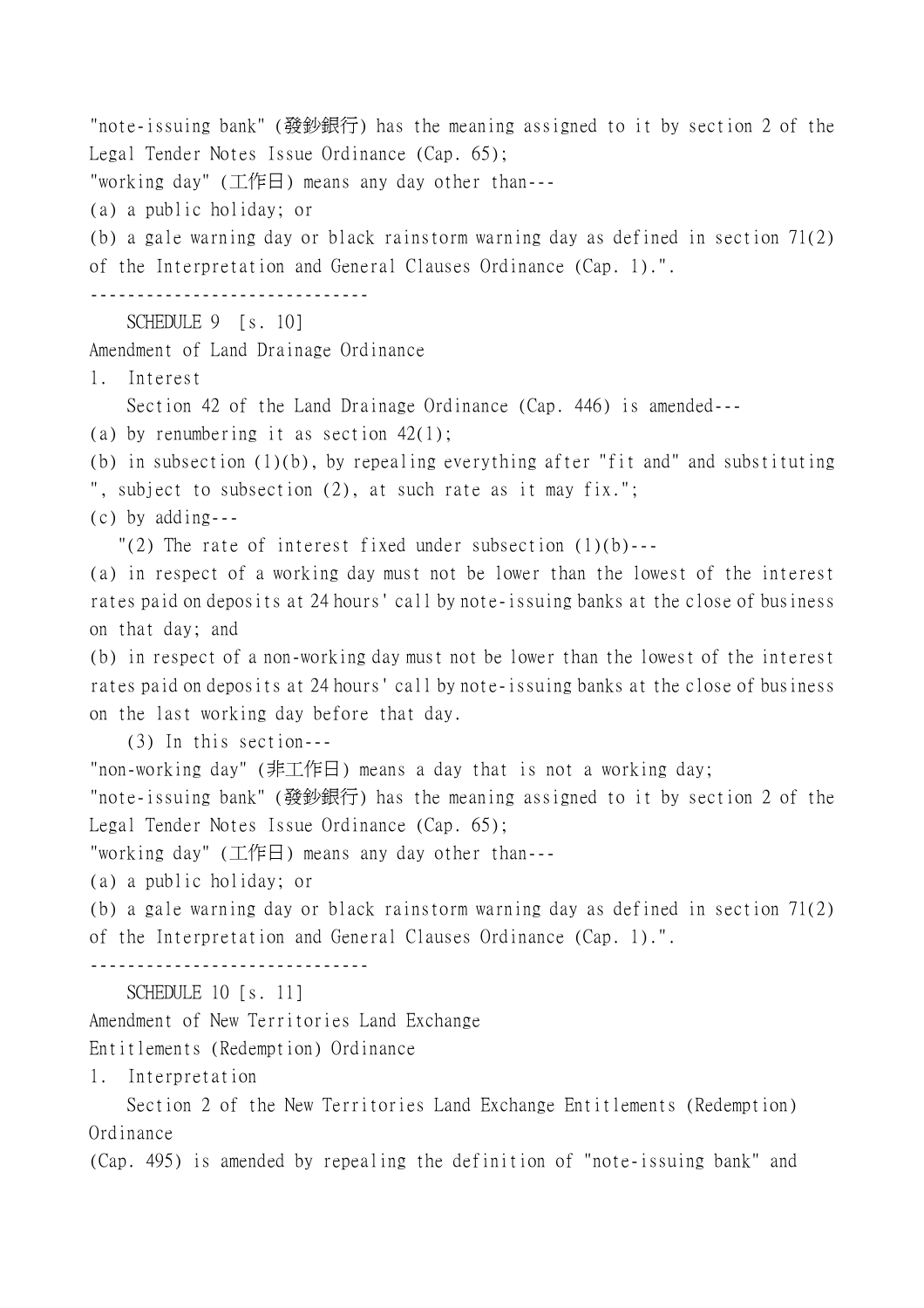"note-issuing bank" (發鈔銀行) has the meaning assigned to it by section 2 of the Legal Tender Notes Issue Ordinance (Cap. 65);

"working day" (工作日) means any day other than---

(a) a public holiday; or

(b) a gale warning day or black rainstorm warning day as defined in section 71(2) of the Interpretation and General Clauses Ordinance (Cap. 1).".

------------------------------

SCHEDULE 9 [s. 10]

Amendment of Land Drainage Ordinance

1. Interest

Section 42 of the Land Drainage Ordinance (Cap. 446) is amended---

(a) by renumbering it as section 42(1);

(b) in subsection (1)(b), by repealing everything after "fit and" and substituting ", subject to subsection (2), at such rate as it may fix.";

(c) by adding---

"(2) The rate of interest fixed under subsection  $(1)(b)$ ---

(a) in respect of a working day must not be lower than the lowest of the interest rates paid on deposits at 24 hours' call by note-issuing banks at the close of business on that day; and

(b) in respect of a non-working day must not be lower than the lowest of the interest rates paid on deposits at 24 hours' call by note-issuing banks at the close of business on the last working day before that day.

(3) In this section---

"non-working day" (非工作日) means a day that is not a working day;

"note-issuing bank" (發鈔銀行) has the meaning assigned to it by section 2 of the Legal Tender Notes Issue Ordinance (Cap. 65);

"working day" (工作日) means any day other than---

(a) a public holiday; or

(b) a gale warning day or black rainstorm warning day as defined in section 71(2) of the Interpretation and General Clauses Ordinance (Cap. 1).".

------------------------------

SCHEDULE 10 [s. 11]

Amendment of New Territories Land Exchange

Entitlements (Redemption) Ordinance

1. Interpretation

Section 2 of the New Territories Land Exchange Entitlements (Redemption) Ordinance

(Cap. 495) is amended by repealing the definition of "note-issuing bank" and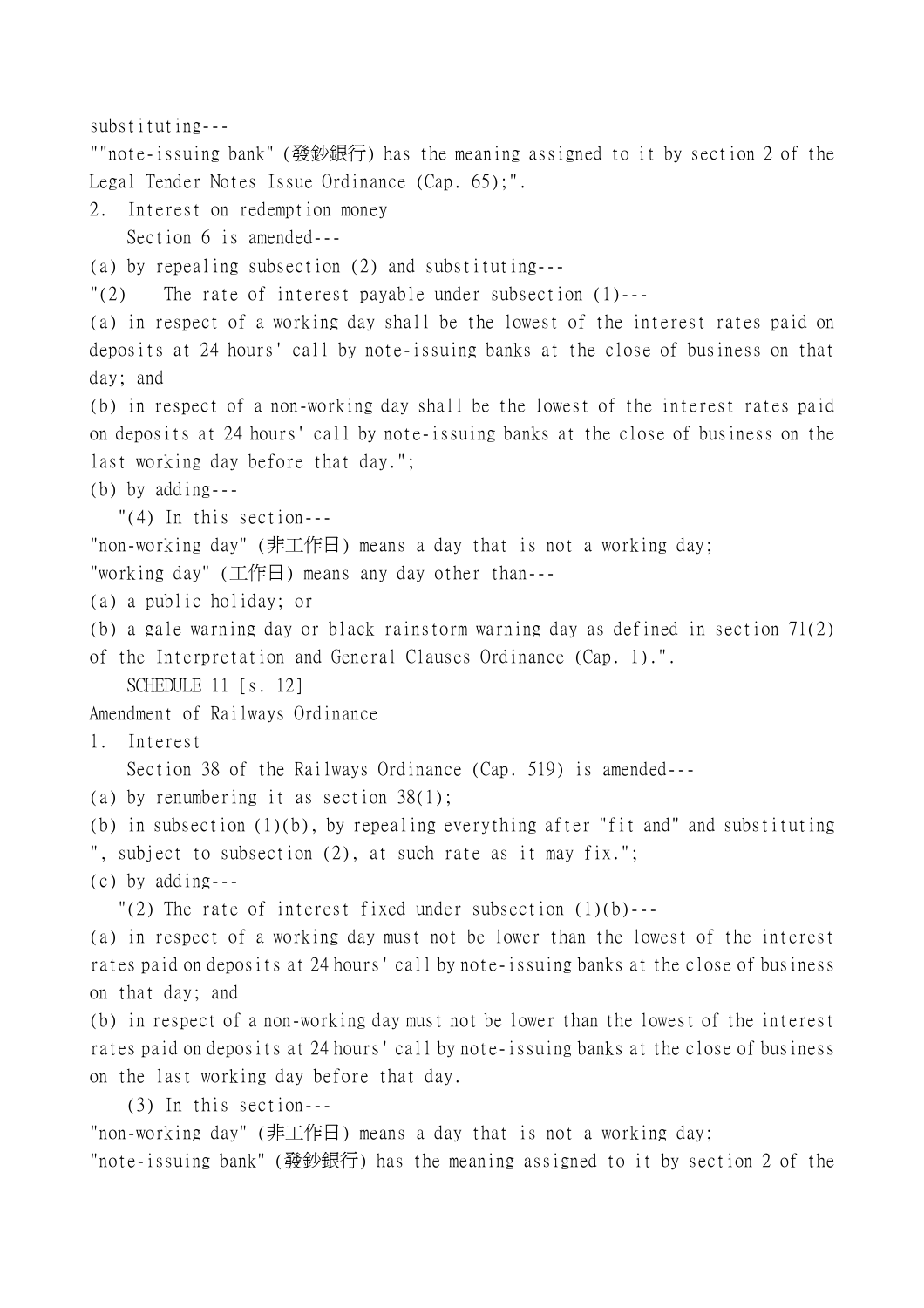substituting--- ""note-issuing bank" (發鈔銀行) has the meaning assigned to it by section 2 of the Legal Tender Notes Issue Ordinance (Cap. 65);". 2. Interest on redemption money Section 6 is amended--- (a) by repealing subsection (2) and substituting--- "(2) The rate of interest payable under subsection (1)--- (a) in respect of a working day shall be the lowest of the interest rates paid on deposits at 24 hours' call by note-issuing banks at the close of business on that day; and (b) in respect of a non-working day shall be the lowest of the interest rates paid on deposits at 24 hours' call by note-issuing banks at the close of business on the last working day before that day."; (b) by adding--- "(4) In this section--- "non-working day" (非工作日) means a day that is not a working day; "working day" (工作日) means any day other than--- (a) a public holiday; or (b) a gale warning day or black rainstorm warning day as defined in section 71(2) of the Interpretation and General Clauses Ordinance (Cap. 1).". SCHEDULE 11 [s. 12] Amendment of Railways Ordinance 1. Interest Section 38 of the Railways Ordinance (Cap. 519) is amended--- (a) by renumbering it as section 38(1); (b) in subsection (1)(b), by repealing everything after "fit and" and substituting ", subject to subsection (2), at such rate as it may fix."; (c) by adding--- "(2) The rate of interest fixed under subsection  $(1)(b)$ ---(a) in respect of a working day must not be lower than the lowest of the interest rates paid on deposits at 24 hours' call by note-issuing banks at the close of business on that day; and (b) in respect of a non-working day must not be lower than the lowest of the interest rates paid on deposits at 24 hours' call by note-issuing banks at the close of business on the last working day before that day. (3) In this section---

"non-working day" (非工作日) means a day that is not a working day;

"note-issuing bank" (發鈔銀行) has the meaning assigned to it by section 2 of the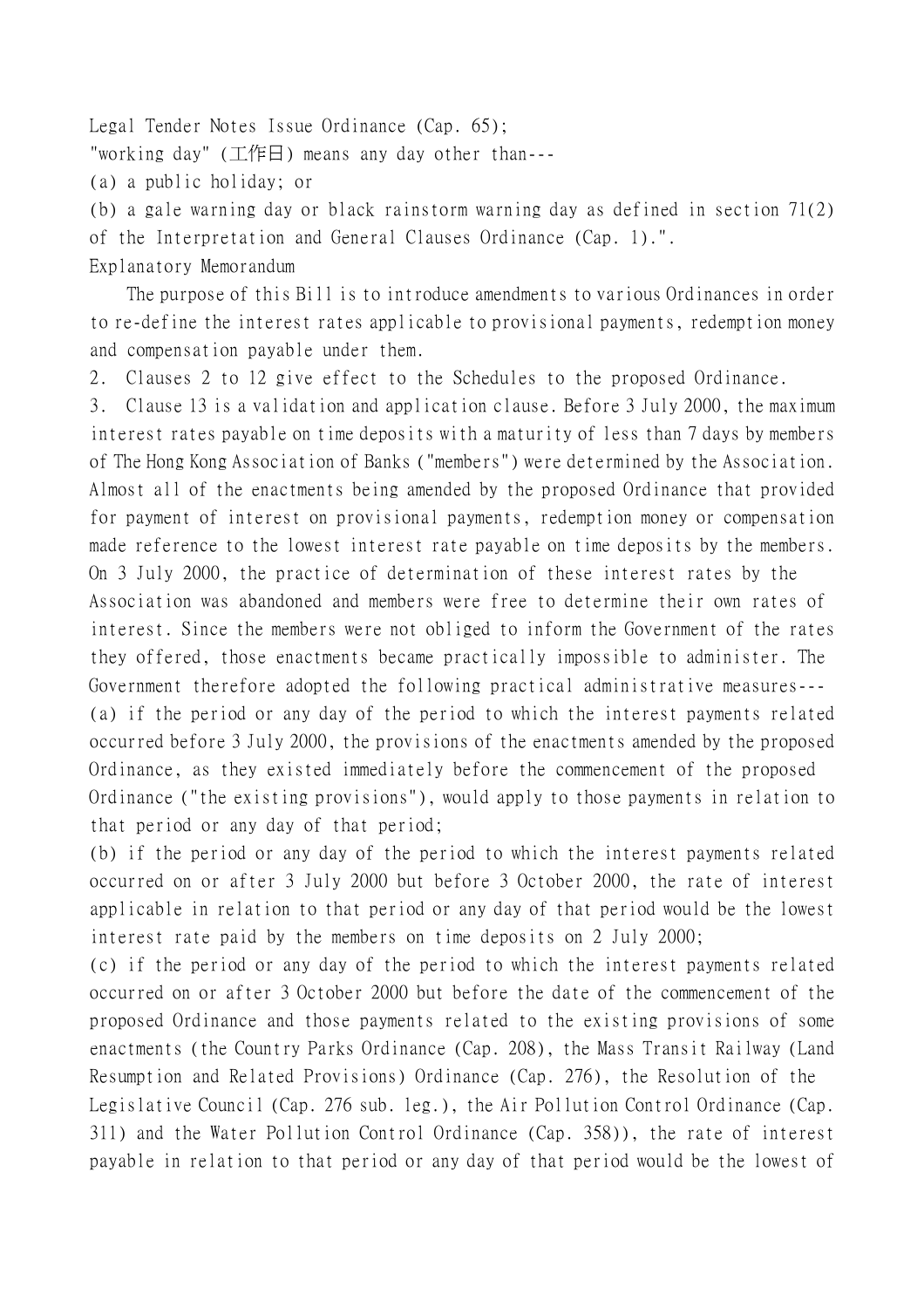Legal Tender Notes Issue Ordinance (Cap. 65); "working day" (工作日) means any day other than--- (a) a public holiday; or (b) a gale warning day or black rainstorm warning day as defined in section 71(2) of the Interpretation and General Clauses Ordinance (Cap. 1).".

Explanatory Memorandum

The purpose of this Bill is to introduce amendments to various Ordinances in order to re-define the interest rates applicable to provisional payments, redemption money and compensation payable under them.

2. Clauses 2 to 12 give effect to the Schedules to the proposed Ordinance.

3. Clause 13 is a validation and application clause. Before 3 July 2000, the maximum interest rates payable on time deposits with a maturity of less than 7 days by members of The Hong Kong Association of Banks ("members") were determined by the Association. Almost all of the enactments being amended by the proposed Ordinance that provided for payment of interest on provisional payments, redemption money or compensation made reference to the lowest interest rate payable on time deposits by the members. On 3 July 2000, the practice of determination of these interest rates by the Association was abandoned and members were free to determine their own rates of interest. Since the members were not obliged to inform the Government of the rates they offered, those enactments became practically impossible to administer. The Government therefore adopted the following practical administrative measures--- (a) if the period or any day of the period to which the interest payments related occurred before 3 July 2000, the provisions of the enactments amended by the proposed Ordinance, as they existed immediately before the commencement of the proposed Ordinance ("the existing provisions"), would apply to those payments in relation to that period or any day of that period;

(b) if the period or any day of the period to which the interest payments related occurred on or after 3 July 2000 but before 3 October 2000, the rate of interest applicable in relation to that period or any day of that period would be the lowest interest rate paid by the members on time deposits on 2 July 2000;

(c) if the period or any day of the period to which the interest payments related occurred on or after 3 October 2000 but before the date of the commencement of the proposed Ordinance and those payments related to the existing provisions of some enactments (the Country Parks Ordinance (Cap. 208), the Mass Transit Railway (Land Resumption and Related Provisions) Ordinance (Cap. 276), the Resolution of the Legislative Council (Cap. 276 sub. leg.), the Air Pollution Control Ordinance (Cap. 311) and the Water Pollution Control Ordinance (Cap. 358)), the rate of interest payable in relation to that period or any day of that period would be the lowest of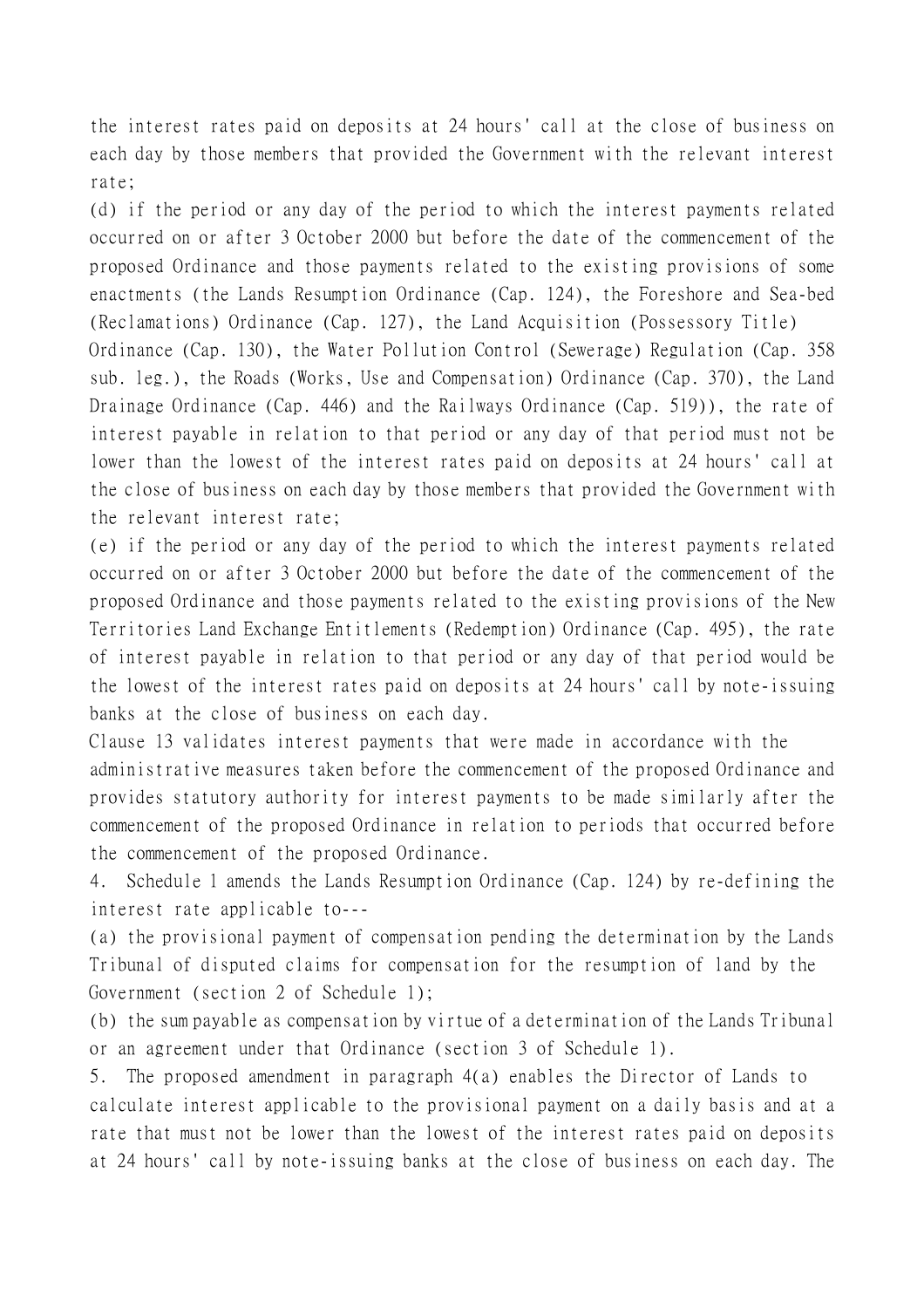the interest rates paid on deposits at 24 hours' call at the close of business on each day by those members that provided the Government with the relevant interest rate;

(d) if the period or any day of the period to which the interest payments related occurred on or after 3 October 2000 but before the date of the commencement of the proposed Ordinance and those payments related to the existing provisions of some enactments (the Lands Resumption Ordinance (Cap. 124), the Foreshore and Sea-bed (Reclamations) Ordinance (Cap. 127), the Land Acquisition (Possessory Title)

Ordinance (Cap. 130), the Water Pollution Control (Sewerage) Regulation (Cap. 358 sub. leg.), the Roads (Works, Use and Compensation) Ordinance (Cap. 370), the Land Drainage Ordinance (Cap. 446) and the Railways Ordinance (Cap. 519)), the rate of interest payable in relation to that period or any day of that period must not be lower than the lowest of the interest rates paid on deposits at 24 hours' call at the close of business on each day by those members that provided the Government with the relevant interest rate;

(e) if the period or any day of the period to which the interest payments related occurred on or after 3 October 2000 but before the date of the commencement of the proposed Ordinance and those payments related to the existing provisions of the New Territories Land Exchange Entitlements (Redemption) Ordinance (Cap. 495), the rate of interest payable in relation to that period or any day of that period would be the lowest of the interest rates paid on deposits at 24 hours' call by note-issuing banks at the close of business on each day.

Clause 13 validates interest payments that were made in accordance with the administrative measures taken before the commencement of the proposed Ordinance and provides statutory authority for interest payments to be made similarly after the commencement of the proposed Ordinance in relation to periods that occurred before the commencement of the proposed Ordinance.

4. Schedule 1 amends the Lands Resumption Ordinance (Cap. 124) by re-defining the interest rate applicable to---

(a) the provisional payment of compensation pending the determination by the Lands Tribunal of disputed claims for compensation for the resumption of land by the Government (section 2 of Schedule 1);

(b) the sum payable as compensation by virtue of a determination of the Lands Tribunal or an agreement under that Ordinance (section 3 of Schedule 1).

5. The proposed amendment in paragraph 4(a) enables the Director of Lands to calculate interest applicable to the provisional payment on a daily basis and at a rate that must not be lower than the lowest of the interest rates paid on deposits at 24 hours' call by note-issuing banks at the close of business on each day. The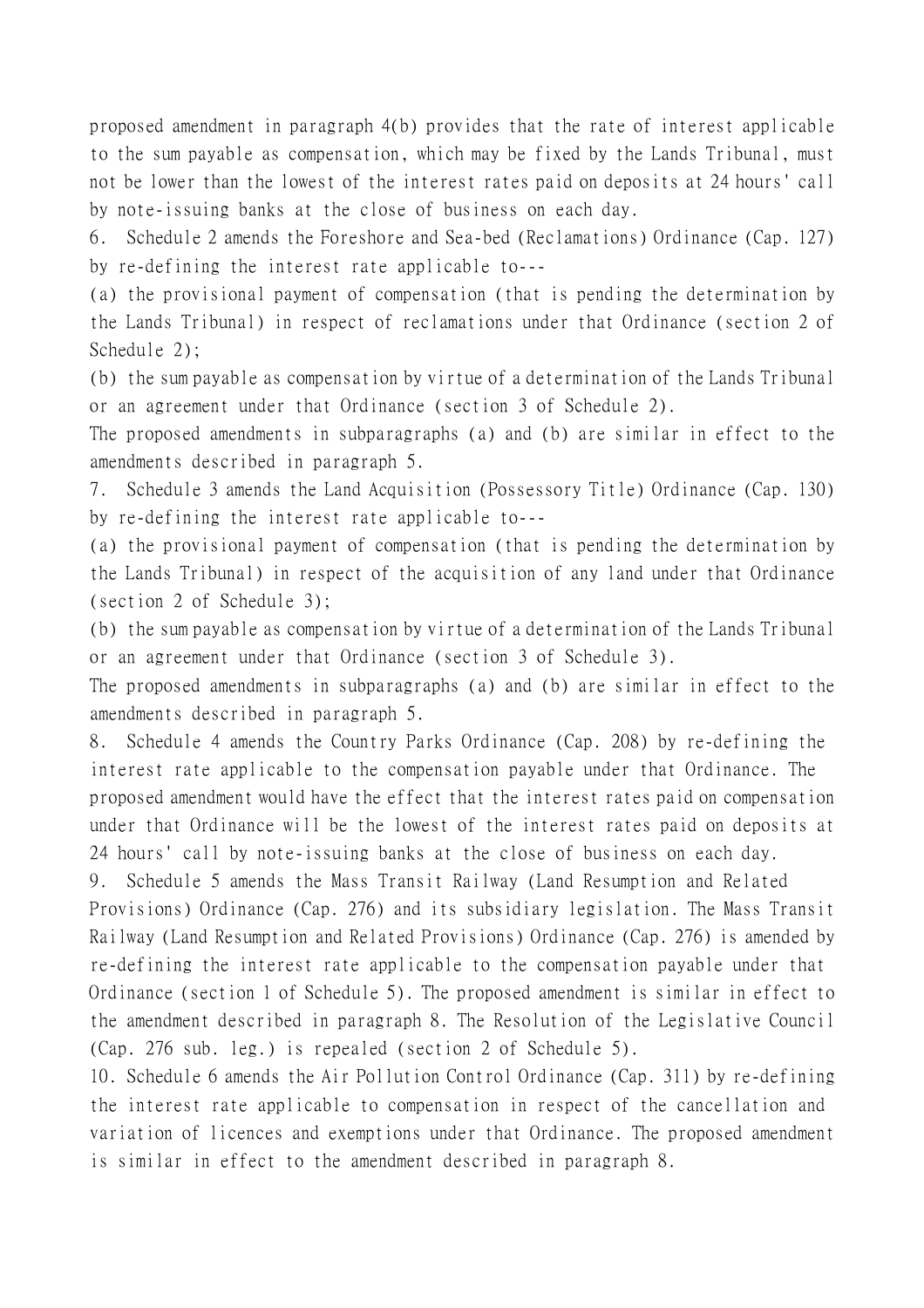proposed amendment in paragraph 4(b) provides that the rate of interest applicable to the sum payable as compensation, which may be fixed by the Lands Tribunal, must not be lower than the lowest of the interest rates paid on deposits at 24 hours' call by note-issuing banks at the close of business on each day.

6. Schedule 2 amends the Foreshore and Sea-bed (Reclamations) Ordinance (Cap. 127) by re-defining the interest rate applicable to---

(a) the provisional payment of compensation (that is pending the determination by the Lands Tribunal) in respect of reclamations under that Ordinance (section 2 of Schedule 2);

(b) the sum payable as compensation by virtue of a determination of the Lands Tribunal or an agreement under that Ordinance (section 3 of Schedule 2).

The proposed amendments in subparagraphs (a) and (b) are similar in effect to the amendments described in paragraph 5.

7. Schedule 3 amends the Land Acquisition (Possessory Title) Ordinance (Cap. 130) by re-defining the interest rate applicable to---

(a) the provisional payment of compensation (that is pending the determination by the Lands Tribunal) in respect of the acquisition of any land under that Ordinance (section 2 of Schedule 3);

(b) the sum payable as compensation by virtue of a determination of the Lands Tribunal or an agreement under that Ordinance (section 3 of Schedule 3).

The proposed amendments in subparagraphs (a) and (b) are similar in effect to the amendments described in paragraph 5.

8. Schedule 4 amends the Country Parks Ordinance (Cap. 208) by re-defining the interest rate applicable to the compensation payable under that Ordinance. The proposed amendment would have the effect that the interest rates paid on compensation under that Ordinance will be the lowest of the interest rates paid on deposits at 24 hours' call by note-issuing banks at the close of business on each day.

9. Schedule 5 amends the Mass Transit Railway (Land Resumption and Related Provisions) Ordinance (Cap. 276) and its subsidiary legislation. The Mass Transit Railway (Land Resumption and Related Provisions) Ordinance (Cap. 276) is amended by re-defining the interest rate applicable to the compensation payable under that Ordinance (section 1 of Schedule 5). The proposed amendment is similar in effect to the amendment described in paragraph 8. The Resolution of the Legislative Council (Cap. 276 sub. leg.) is repealed (section 2 of Schedule 5).

10. Schedule 6 amends the Air Pollution Control Ordinance (Cap. 311) by re-defining the interest rate applicable to compensation in respect of the cancellation and variation of licences and exemptions under that Ordinance. The proposed amendment is similar in effect to the amendment described in paragraph 8.